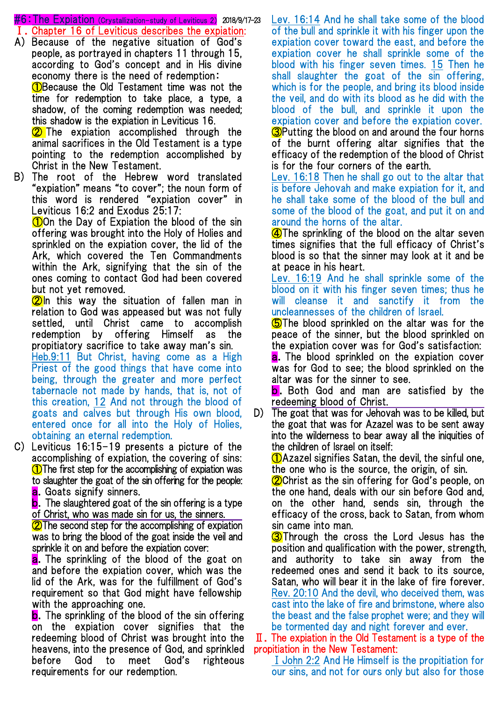#6:The Expiation (Crystallization-study of Leviticus 2) 2018/9/17-23

- Ⅰ.Chapter 16 of Leviticus describes the expiation:
- A) Because of the negative situation of God's people, as portrayed in chapters 11 through 15, according to God's concept and in His divine economy there is the need of redemption: **1 O**Because the Old Testament time was not the time for redemption to take place, a type, a shadow, of the coming redemption was needed; this shadow is the expiation in Leviticus 16. **2** The expiation accomplished through the

animal sacrifices in the Old Testament is a type pointing to the redemption accomplished by Christ in the New Testament.

B) The root of the Hebrew word translated "expiation" means "to cover"; the noun form of this word is rendered "expiation cover" in Leviticus 16:2 and Exodus 25:17:

**100** On the Day of Expiation the blood of the sin offering was brought into the Holy of Holies and sprinkled on the expiation cover, the lid of the Ark, which covered the Ten Commandments within the Ark, signifying that the sin of the ones coming to contact God had been covered but not yet removed.

 $\Omega$ In this way the situation of fallen man in relation to God was appeased but was not fully settled, until Christ came to accomplish redemption by offering Himself as the propitiatory sacrifice to take away man's sin. Heb.9:11 But Christ, having come as a High Priest of the good things that have come into being, through the greater and more perfect tabernacle not made by hands, that is, not of this creation, 12 And not through the blood of goats and calves but through His own blood, entered once for all into the Holy of Holies, obtaining an eternal redemption.

C) Leviticus 16:15-19 presents a picture of the accomplishing of expiation, the covering of sins: **1** The first step for the accomplishing of expiation was to slaughter the goat of the sin offering for the people: **a.** Goats signify sinners.

**b**. The slaughtered goat of the sin offering is a type of Christ, who was made sin for us, the sinners.

**2** The second step for the accomplishing of expiation was to bring the blood of the goat inside the veil and sprinkle it on and before the expiation cover:

a. The sprinkling of the blood of the goat on and before the expiation cover, which was the lid of the Ark, was for the fulfillment of God's requirement so that God might have fellowship with the approaching one.

**b.** The sprinkling of the blood of the sin offering on the expiation cover signifies that the redeeming blood of Christ was brought into the heavens, into the presence of God, and sprinkled before God to meet God's righteous requirements for our redemption.

Lev. 16:14 And he shall take some of the blood of the bull and sprinkle it with his finger upon the expiation cover toward the east, and before the expiation cover he shall sprinkle some of the blood with his finger seven times. 15 Then he shall slaughter the goat of the sin offering, which is for the people, and bring its blood inside the veil, and do with its blood as he did with the blood of the bull, and sprinkle it upon the expiation cover and before the expiation cover. **3**Putting the blood on and around the four horns of the burnt offering altar signifies that the efficacy of the redemption of the blood of Christ is for the four corners of the earth.

Lev. 16:18 Then he shall go out to the altar that is before Jehovah and make expiation for it, and he shall take some of the blood of the bull and some of the blood of the goat, and put it on and around the horns of the altar.

**4** The sprinkling of the blood on the altar seven times signifies that the full efficacy of Christ's blood is so that the sinner may look at it and be at peace in his heart.

Lev. 16:19 And he shall sprinkle some of the blood on it with his finger seven times; thus he will cleanse it and sanctify it from the uncleannesses of the children of Israel.

**S**The blood sprinkled on the altar was for the peace of the sinner, but the blood sprinkled on the expiation cover was for God's satisfaction:

a. The blood sprinkled on the expiation cover was for God to see; the blood sprinkled on the altar was for the sinner to see.

**b**. Both God and man are satisfied by the redeeming blood of Christ.

D) The goat that was for Jehovah was to be killed, but the goat that was for Azazel was to be sent away into the wilderness to bear away all the iniquities of the children of Israel on itself:

①Azazel signifies Satan, the devil, the sinful one, the one who is the source, the origin, of sin.

**2**Christ as the sin offering for God's people, on the one hand, deals with our sin before God and, on the other hand, sends sin, through the efficacy of the cross, back to Satan, from whom sin came into man.

**3** Through the cross the Lord Jesus has the position and qualification with the power, strength, and authority to take sin away from the redeemed ones and send it back to its source, Satan, who will bear it in the lake of fire forever. Rev. 20:10 And the devil, who deceived them, was cast into the lake of fire and brimstone, where also the beast and the false prophet were; and they will be tormented day and night forever and ever.

Ⅱ.The expiation in the Old Testament is a type of the propitiation in the New Testament:

ⅠJohn 2:2 And He Himself is the propitiation for our sins, and not for ours only but also for those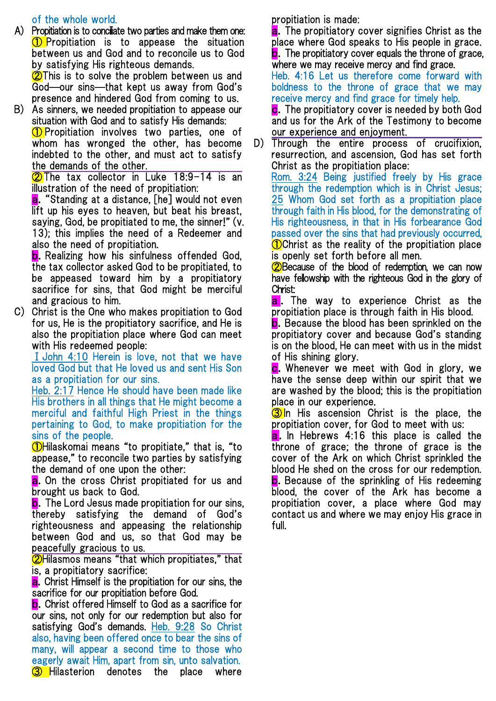of the whole world.

A) Propitiation is to conciliate two parties and make them one: **1** Propitiation is to appease the situation between us and God and to reconcile us to God by satisfying His righteous demands.

**2**This is to solve the problem between us and God—our sins—that kept us away from God's presence and hindered God from coming to us.

B) As sinners, we needed propitiation to appease our situation with God and to satisfy His demands:

**1** Propitiation involves two parties, one of whom has wronged the other, has become indebted to the other, and must act to satisfy the demands of the other.

**2** The tax collector in Luke 18:9-14 is an illustration of the need of propitiation:

a."Standing at a distance, [he] would not even lift up his eyes to heaven, but beat his breast, saying, God, be propitiated to me, the sinner!" (v. 13); this implies the need of a Redeemer and also the need of propitiation.

**b.** Realizing how his sinfulness offended God. the tax collector asked God to be propitiated, to be appeased toward him by a propitiatory sacrifice for sins, that God might be merciful and gracious to him.

C) Christ is the One who makes propitiation to God for us, He is the propitiatory sacrifice, and He is also the propitiation place where God can meet with His redeemed people:

ⅠJohn 4:10 Herein is love, not that we have loved God but that He loved us and sent His Son as a propitiation for our sins.

Heb. 2:17 Hence He should have been made like His brothers in all things that He might become a merciful and faithful High Priest in the things pertaining to God, to make propitiation for the sins of the people.

①Hilaskomai means "to propitiate," that is, "to appease," to reconcile two parties by satisfying the demand of one upon the other:

a. On the cross Christ propitiated for us and brought us back to God.

**b.** The Lord Jesus made propitiation for our sins, thereby satisfying the demand of God's righteousness and appeasing the relationship between God and us, so that God may be peacefully gracious to us.

②Hilasmos means "that which propitiates," that is, a propitiatory sacrifice:

**a.** Christ Himself is the propitiation for our sins, the sacrifice for our propitiation before God.

**b.** Christ offered Himself to God as a sacrifice for our sins, not only for our redemption but also for satisfying God's demands. Heb. 9:28 So Christ also, having been offered once to bear the sins of many, will appear a second time to those who eagerly await Him, apart from sin, unto salvation. **3** Hilasterion denotes the place where propitiation is made:

**a.** The propitiatory cover signifies Christ as the place where God speaks to His people in grace. **b.** The propitiatory cover equals the throne of grace. where we may receive mercy and find grace.

Heb. 4:16 Let us therefore come forward with boldness to the throne of grace that we may receive mercy and find grace for timely help.

c.The propitiatory cover is needed by both God and us for the Ark of the Testimony to become our experience and enjoyment.

D) Through the entire process of crucifixion, resurrection, and ascension, God has set forth Christ as the propitiation place:

Rom. 3:24 Being justified freely by His grace through the redemption which is in Christ Jesus; 25 Whom God set forth as a propitiation place through faith in His blood, for the demonstrating of His righteousness, in that in His forbearance God passed over the sins that had previously occurred, **O**Christ as the reality of the propitiation place is openly set forth before all men.

**2**Because of the blood of redemption, we can now have fellowship with the righteous God in the glory of Christ:

**a**. The way to experience Christ as the propitiation place is through faith in His blood.

**b.** Because the blood has been sprinkled on the propitiatory cover and because God's standing is on the blood, He can meet with us in the midst of His shining glory.

c. Whenever we meet with God in glory, we have the sense deep within our spirit that we are washed by the blood; this is the propitiation place in our experience.

**3** In His ascension Christ is the place, the propitiation cover, for God to meet with us:

**a.** In Hebrews 4:16 this place is called the throne of grace; the throne of grace is the cover of the Ark on which Christ sprinkled the blood He shed on the cross for our redemption. **b.** Because of the sprinkling of His redeeming blood, the cover of the Ark has become a propitiation cover, a place where God may contact us and where we may enjoy His grace in full.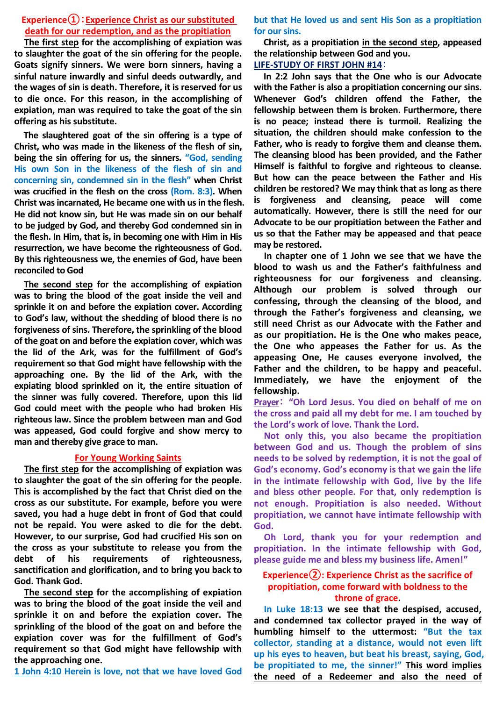## **Experience①**:**Experience Christ as our substituted death for our redemption, and as the propitiation**

**The first step for the accomplishing of expiation was to slaughter the goat of the sin offering for the people. Goats signify sinners. We were born sinners, having a sinful nature inwardly and sinful deeds outwardly, and the wages of sin is death. Therefore, it is reserved for us to die once. For this reason, in the accomplishing of expiation, man was required to take the goat of the sin offering as his substitute.**

**The slaughtered goat of the sin offering is a type of Christ, who was made in the likeness of the flesh of sin, being the sin offering for us, the sinners. "God, sending His own Son in the likeness of the flesh of sin and concerning sin, condemned sin in the flesh" when Christ was crucified in the flesh on the cross (Rom. 8:3). When Christ was incarnated, He became one with us in the flesh. He did not know sin, but He was made sin on our behalf to be judged by God, and thereby God condemned sin in the flesh. In Him, that is, in becoming one with Him in His resurrection, we have become the righteousness of God. By this righteousness we, the enemies of God, have been reconciled to God**

**The second step for the accomplishing of expiation was to bring the blood of the goat inside the veil and sprinkle it on and before the expiation cover. According to God's law, without the shedding of blood there is no forgiveness of sins. Therefore, the sprinkling of the blood of the goat on and before the expiation cover, which was the lid of the Ark, was for the fulfillment of God's requirement so that God might have fellowship with the approaching one. By the lid of the Ark, with the expiating blood sprinkled on it, the entire situation of the sinner was fully covered. Therefore, upon this lid God could meet with the people who had broken His righteous law. Since the problem between man and God was appeased, God could forgive and show mercy to man and thereby give grace to man.**

#### **For Young Working Saints**

**The first step for the accomplishing of expiation was to slaughter the goat of the sin offering for the people. This is accomplished by the fact that Christ died on the cross as our substitute. For example, before you were saved, you had a huge debt in front of God that could not be repaid. You were asked to die for the debt. However, to our surprise, God had crucified His son on the cross as your substitute to release you from the debt of his requirements of righteousness, sanctification and glorification, and to bring you back to God. Thank God.**

**The second step for the accomplishing of expiation was to bring the blood of the goat inside the veil and sprinkle it on and before the expiation cover. The sprinkling of the blood of the goat on and before the expiation cover was for the fulfillment of God's requirement so that God might have fellowship with the approaching one.**

**1 John 4:10 Herein is love, not that we have loved God** 

**but that He loved us and sent His Son as a propitiation for our sins.**

**Christ, as a propitiation in the second step, appeased the relationship between God and you.**

**LIFE-STUDY OF FIRST JOHN #14**:

**In 2:2 John says that the One who is our Advocate with the Father is also a propitiation concerning our sins. Whenever God's children offend the Father, the fellowship between them is broken. Furthermore, there is no peace; instead there is turmoil. Realizing the situation, the children should make confession to the Father, who is ready to forgive them and cleanse them. The cleansing blood has been provided, and the Father Himself is faithful to forgive and righteous to cleanse. But how can the peace between the Father and His children be restored? We may think that as long as there is forgiveness and cleansing, peace will come automatically. However, there is still the need for our Advocate to be our propitiation between the Father and us so that the Father may be appeased and that peace may be restored.**

**In chapter one of 1 John we see that we have the blood to wash us and the Father's faithfulness and righteousness for our forgiveness and cleansing. Although our problem is solved through our confessing, through the cleansing of the blood, and through the Father's forgiveness and cleansing, we still need Christ as our Advocate with the Father and as our propitiation. He is the One who makes peace, the One who appeases the Father for us. As the appeasing One, He causes everyone involved, the Father and the children, to be happy and peaceful. Immediately, we have the enjoyment of the fellowship.**

**Prayer**: **"Oh Lord Jesus. You died on behalf of me on the cross and paid all my debt for me. I am touched by the Lord's work of love. Thank the Lord.** 

**Not only this, you also became the propitiation between God and us. Though the problem of sins needs to be solved by redemption, it is not the goal of God's economy. God's economy is that we gain the life in the intimate fellowship with God, live by the life and bless other people. For that, only redemption is not enough. Propitiation is also needed. Without propitiation, we cannot have intimate fellowship with God.** 

**Oh Lord, thank you for your redemption and propitiation. In the intimate fellowship with God, please guide me and bless my business life. Amen!"**

### **Experience②: Experience Christ as the sacrifice of propitiation, come forward with boldness to the throne of grace.**

**In Luke 18:13 we see that the despised, accused, and condemned tax collector prayed in the way of humbling himself to the uttermost: "But the tax collector, standing at a distance, would not even lift up his eyes to heaven, but beat his breast, saying, God, be propitiated to me, the sinner!" This word implies the need of a Redeemer and also the need of**